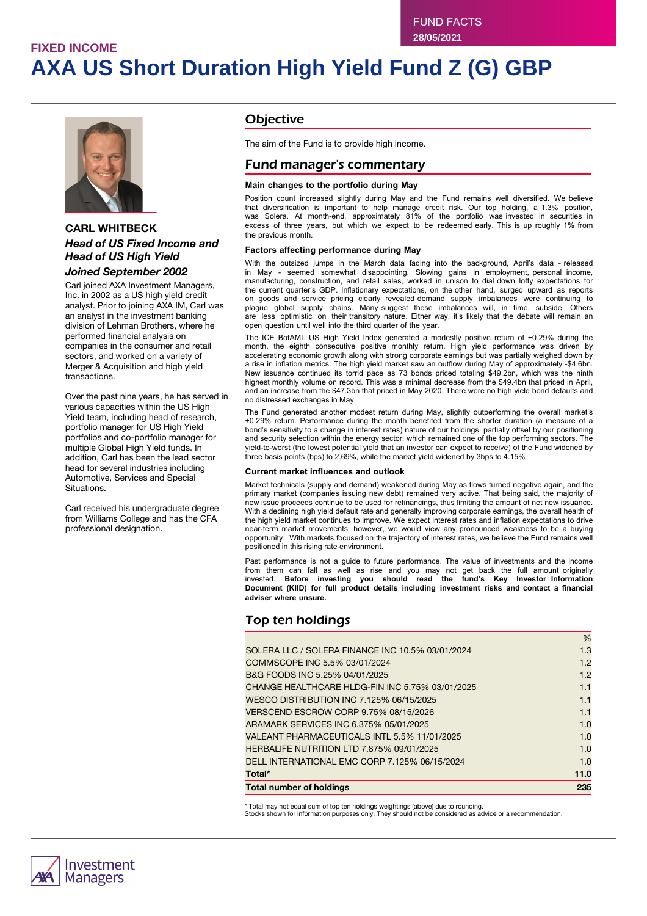# **FIXED INCOME AXA US Short Duration High Yield Fund Z (G) GBP**



## **CARL WHITBECK** *Head of US Fixed Income and Head of US High Yield*

#### *Joined September 2002*

Carl joined AXA Investment Managers, Inc. in 2002 as a US high yield credit analyst. Prior to joining AXA IM, Carl was an analyst in the investment banking division of Lehman Brothers, where he performed financial analysis on companies in the consumer and retail sectors, and worked on a variety of Merger & Acquisition and high yield transactions.

Over the past nine years, he has served in various capacities within the US High Yield team, including head of research, portfolio manager for US High Yield portfolios and co-portfolio manager for multiple Global High Yield funds. In addition, Carl has been the lead sector head for several industries including Automotive, Services and Special Situations.

Carl received his undergraduate degree from Williams College and has the CFA professional designation.

## **Objective**

The aim of the Fund is to provide high income.

## Fund manager's commentary

#### **Main changes to the portfolio during May**

Position count increased slightly during May and the Fund remains well diversified. We believe that diversification is important to help manage credit risk. Our top holding, a 1.3% position, was Solera. At month-end, approximately 81% of the portfolio was invested in securities in excess of three years, but which we expect to be redeemed early. This is up roughly 1% from the previous month.

#### **Factors affecting performance during May**

With the outsized jumps in the March data fading into the background, April's data - released in May - seemed somewhat disappointing. Slowing gains in employment, personal income, manufacturing, construction, and retail sales, worked in unison to dial down lofty expectations for the current quarter's GDP. Inflationary expectations, on the other hand, surged upward as reports on goods and service pricing clearly revealed demand supply imbalances were continuing to plague global supply chains. Many suggest these imbalances will, in time, subside. Others are less optimistic on their transitory nature. Either way, it's likely that the debate will remain an open question until well into the third quarter of the year.

The ICE BofAML US High Yield Index generated a modestly positive return of +0.29% during the month, the eighth consecutive positive monthly return. High yield performance was driven by accelerating economic growth along with strong corporate earnings but was partially weighed down by a rise in inflation metrics. The high yield market saw an outflow during May of approximately -\$4.6bn. New issuance continued its torrid pace as 73 bonds priced totaling \$49.2bn, which was the ninth highest monthly volume on record. This was a minimal decrease from the \$49.4bn that priced in April, and an increase from the \$47.3bn that priced in May 2020. There were no high yield bond defaults and no distressed exchanges in May.

The Fund generated another modest return during May, slightly outperforming the overall market's +0.29% return. Performance during the month benefited from the shorter duration (a measure of a bond's sensitivity to a change in interest rates) nature of our holdings, partially offset by our positioning and security selection within the energy sector, which remained one of the top performing sectors. The yield-to-worst (the lowest potential yield that an investor can expect to receive) of the Fund widened by three basis points (bps) to 2.69%, while the market yield widened by 3bps to 4.15%.

#### **Current market influences and outlook**

Market technicals (supply and demand) weakened during May as flows turned negative again, and the primary market (companies issuing new debt) remained very active. That being said, the majority of new issue proceeds continue to be used for refinancings, thus limiting the amount of net new issuance. With a declining high yield default rate and generally improving corporate earnings, the overall health of the high yield market continues to improve. We expect interest rates and inflation expectations to drive near-term market movements; however, we would view any pronounced weakness to be a buying opportunity. With markets focused on the trajectory of interest rates, we believe the Fund remains well positioned in this rising rate environment.

Past performance is not a guide to future performance. The value of investments and the income from them can fall as well as rise and you may not get back the full amount originally invested. **Before investing you should read the fund's Key Investor Information Document (KIID) for full product details including investment risks and contact a financial adviser where unsure.**

## Top ten holdings

| <b>Total number of holdings</b>                  | 235  |
|--------------------------------------------------|------|
| Total*                                           | 11.0 |
| DELL INTERNATIONAL EMC CORP 7.125% 06/15/2024    | 1.0  |
| HERBALIFE NUTRITION LTD 7.875% 09/01/2025        | 1.0  |
| VALEANT PHARMACEUTICALS INTL 5.5% 11/01/2025     | 1.0  |
| ARAMARK SERVICES INC 6.375% 05/01/2025           | 1.0  |
| VERSCEND ESCROW CORP 9.75% 08/15/2026            | 1.1  |
| WESCO DISTRIBUTION INC 7.125% 06/15/2025         | 1.1  |
| CHANGE HEALTHCARE HLDG-FIN INC 5.75% 03/01/2025  | 1.1  |
| B&G FOODS INC 5.25% 04/01/2025                   | 1.2  |
| COMMSCOPE INC 5.5% 03/01/2024                    | 1.2  |
| SOLERA LLC / SOLERA FINANCE INC 10.5% 03/01/2024 | 1.3  |
|                                                  | %    |

\* Total may not equal sum of top ten holdings weightings (above) due to rounding.

Stocks shown for information purposes only. They should not be considered as advice or a recommendation.